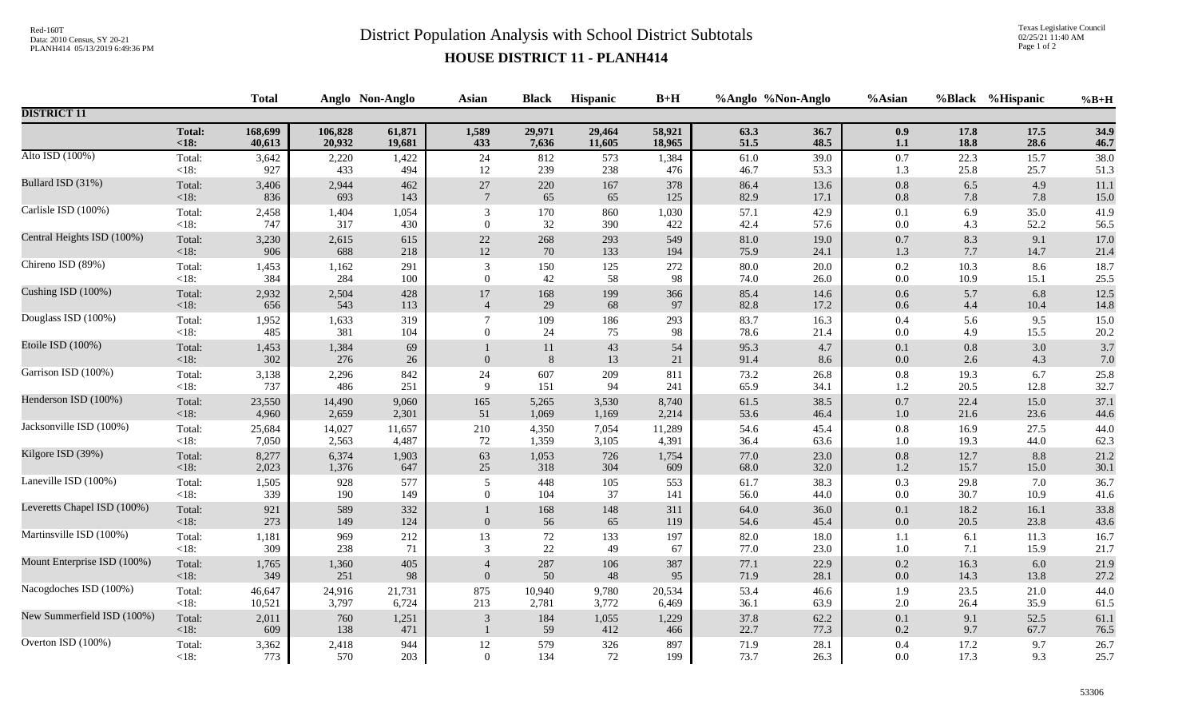## Red-160T<br>District Population Analysis with School District Subtotals

Texas Legislative Council 02/25/21 11:40 AM Page 1 of 2

## **HOUSE DISTRICT 11 - PLANH414**

|                             |                | <b>Total</b> |              | Anglo Non-Anglo | <b>Asian</b>     | <b>Black</b>          | Hispanic     | $B+H$        |              | %Anglo %Non-Anglo | %Asian             |              | %Black %Hispanic | $%B+H$       |
|-----------------------------|----------------|--------------|--------------|-----------------|------------------|-----------------------|--------------|--------------|--------------|-------------------|--------------------|--------------|------------------|--------------|
| <b>DISTRICT 11</b>          |                |              |              |                 |                  |                       |              |              |              |                   |                    |              |                  |              |
|                             | <b>Total:</b>  | 168,699      | 106,828      | 61,871          | 1,589            | 29,971                | 29,464       | 58,921       | 63.3         | 36.7              | 0.9                | 17.8         | 17.5             | 34.9         |
|                             | $18:$          | 40,613       | 20,932       | 19,681          | 433              | 7,636                 | 11,605       | 18,965       | 51.5         | 48.5              | $1.1\,$            | 18.8         | 28.6             | 46.7         |
| Alto ISD (100%)             | Total:         | 3,642        | 2,220        | 1,422           | 24               | 812                   | 573          | 1,384        | 61.0         | 39.0              | 0.7                | 22.3         | 15.7             | 38.0         |
|                             | $<18$ :        | 927          | 433          | 494             | 12               | 239                   | 238          | 476          | 46.7         | 53.3              | 1.3                | 25.8         | 25.7             | 51.3         |
| Bullard ISD (31%)           | Total:         | 3,406        | 2,944        | 462             | $27\,$           | 220                   | 167          | 378          | 86.4         | 13.6              | $0.8\,$            | 6.5          | 4.9              | 11.1         |
|                             | <18:           | 836          | 693          | 143             | $7\phantom{.0}$  | 65                    | 65           | 125          | 82.9         | 17.1              | 0.8                | 7.8          | 7.8              | 15.0         |
| Carlisle ISD (100%)         | Total:         | 2,458        | 1,404        | 1,054           | 3                | 170                   | 860          | 1,030        | 57.1         | 42.9              | 0.1                | 6.9          | 35.0             | 41.9         |
|                             | $<18$ :        | 747          | 317          | 430             | $\overline{0}$   | 32                    | 390          | 422          | 42.4         | 57.6              | 0.0                | 4.3          | 52.2             | 56.5         |
| Central Heights ISD (100%)  | Total:         | 3,230        | 2,615        | 615             | $22\,$           | 268                   | 293          | 549          | 81.0         | 19.0              | $0.7\,$            | 8.3          | 9.1              | 17.0         |
|                             | $<18$ :        | 906          | 688          | 218             | 12               | 70                    | 133          | 194          | 75.9         | 24.1              | 1.3                | 7.7          | 14.7             | 21.4         |
| Chireno ISD (89%)           | Total:         | 1,453        | 1,162        | 291             | 3                | 150                   | 125          | 272          | 80.0         | 20.0              | 0.2                | 10.3         | 8.6              | 18.7         |
|                             | <18:           | 384          | 284          | 100             | $\overline{0}$   | 42                    | 58           | 98           | 74.0         | 26.0              | $0.0\,$            | 10.9         | 15.1             | 25.5         |
| Cushing ISD (100%)          | Total:         | 2,932        | 2,504        | 428             | $17\,$           | 168                   | 199          | 366          | 85.4         | 14.6              | $0.6\,$            | 5.7          | 6.8              | 12.5         |
|                             | <18:           | 656          | 543          | 113             | $\overline{4}$   | 29                    | 68           | 97           | 82.8         | 17.2              | $0.6\,$            | 4.4          | 10.4             | 14.8         |
| Douglass ISD (100%)         | Total:         | 1,952        | 1,633        | 319             | $\overline{7}$   | 109                   | 186          | 293          | 83.7         | 16.3              | $0.4\,$            | 5.6          | 9.5              | 15.0         |
|                             | <18:           | 485          | 381          | 104             | $\theta$         | 24                    | 75           | 98           | 78.6         | 21.4              | 0.0                | 4.9          | 15.5             | 20.2         |
| Etoile ISD (100%)           | Total:<br><18: | 1,453<br>302 | 1,384<br>276 | 69<br>26        | $\boldsymbol{0}$ | 11<br>$8\phantom{.}8$ | $43\,$<br>13 | 54<br>$21\,$ | 95.3<br>91.4 | 4.7<br>8.6        | 0.1<br>$0.0\,$     | 0.8<br>2.6   | 3.0<br>4.3       | 3.7<br>7.0   |
| Garrison ISD (100%)         | Total:         | 3,138        | 2,296        | 842             | 24               | 607                   | 209          | 811          | 73.2         | 26.8              | $0.8\,$            | 19.3         | 6.7              | 25.8         |
|                             | $<18$ :        | 737          | 486          | 251             | $\mathbf{Q}$     | 151                   | 94           | 241          | 65.9         | 34.1              | 1.2                | 20.5         | 12.8             | 32.7         |
| Henderson ISD (100%)        | Total:         | 23,550       | 14,490       | 9,060           | 165              | 5,265                 | 3,530        | 8,740        | 61.5         | 38.5              | $0.7\,$            | 22.4         | 15.0             | 37.1         |
|                             | <18:           | 4,960        | 2,659        | 2,301           | 51               | 1,069                 | 1,169        | 2,214        | 53.6         | 46.4              | $1.0\,$            | 21.6         | 23.6             | 44.6         |
| Jacksonville ISD (100%)     | Total:         | 25,684       | 14,027       | 11,657          | 210              | 4,350                 | 7,054        | 11,289       | 54.6         | 45.4              | 0.8                | 16.9         | 27.5             | 44.0         |
|                             | $<18$ :        | 7,050        | 2,563        | 4,487           | 72               | 1,359                 | 3,105        | 4,391        | 36.4         | 63.6              | 1.0                | 19.3         | 44.0             | 62.3         |
| Kilgore ISD (39%)           | Total:         | 8,277        | 6,374        | 1,903           | 63               | 1,053                 | 726          | 1,754        | 77.0         | 23.0              | $0.8\,$            | 12.7         | 8.8              | 21.2         |
|                             | <18:           | 2,023        | 1,376        | 647             | 25               | 318                   | 304          | 609          | 68.0         | 32.0              | 1.2                | 15.7         | 15.0             | 30.1         |
| Laneville ISD (100%)        | Total:         | 1,505        | 928          | 577             | 5                | 448                   | 105          | 553          | 61.7         | 38.3              | 0.3                | 29.8         | 7.0              | 36.7         |
|                             | $<18$ :        | 339          | 190          | 149             | $\theta$         | 104                   | 37           | 141          | 56.0         | 44.0              | 0.0                | 30.7         | 10.9             | 41.6         |
| Leveretts Chapel ISD (100%) | Total:<br><18: | 921<br>273   | 589<br>149   | 332<br>124      | $\mathbf{0}$     | 168<br>56             | 148<br>65    | 311<br>119   | 64.0<br>54.6 | 36.0<br>45.4      | 0.1<br>$0.0\,$     | 18.2<br>20.5 | 16.1<br>23.8     | 33.8<br>43.6 |
| Martinsville ISD (100%)     | Total:         | 1,181        | 969          | 212             | 13               | 72                    | 133          | 197          | 82.0         | 18.0              | 1.1                | 6.1          | 11.3             | 16.7         |
|                             | $<18$ :        | 309          | 238          | 71              | 3                | 22                    | 49           | 67           | 77.0         | 23.0              | 1.0                | 7.1          | 15.9             | 21.7         |
| Mount Enterprise ISD (100%) | Total:         | 1,765        | 1,360        | 405             | $\overline{4}$   | 287                   | 106          | 387          | 77.1         | 22.9              | $0.2\,$            | 16.3         | 6.0              | 21.9         |
|                             | $<18$ :        | 349          | 251          | 98              | $\overline{0}$   | 50                    | 48           | 95           | 71.9         | 28.1              | $0.0\,$            | 14.3         | 13.8             | 27.2         |
| Nacogdoches ISD (100%)      | Total:         | 46,647       | 24,916       | 21,731          | 875              | 10,940                | 9,780        | 20,534       | 53.4         | 46.6              | 1.9                | 23.5         | 21.0             | 44.0         |
|                             | $<18$ :        | 10,521       | 3,797        | 6,724           | 213              | 2,781                 | 3,772        | 6,469        | 36.1         | 63.9              | $2.0\,$            | 26.4         | 35.9             | 61.5         |
| New Summerfield ISD (100%)  | Total:<br><18: | 2,011<br>609 | 760<br>138   | 1,251<br>471    | $\overline{3}$   | 184<br>59             | 1,055<br>412 | 1,229<br>466 | 37.8<br>22.7 | 62.2<br>77.3      | $0.1\,$<br>$0.2\,$ | 9.1<br>9.7   | 52.5<br>67.7     | 61.1<br>76.5 |
| Overton ISD (100%)          | Total:         | 3,362        | 2,418        | 944             | 12               | 579                   | 326          | 897          | 71.9         | 28.1              | 0.4                | 17.2         | 9.7              | 26.7         |
|                             | $<18$ :        | 773          | 570          | 203             | $\overline{0}$   | 134                   | 72           | 199          | 73.7         | 26.3              | 0.0                | 17.3         | 9.3              | 25.7         |